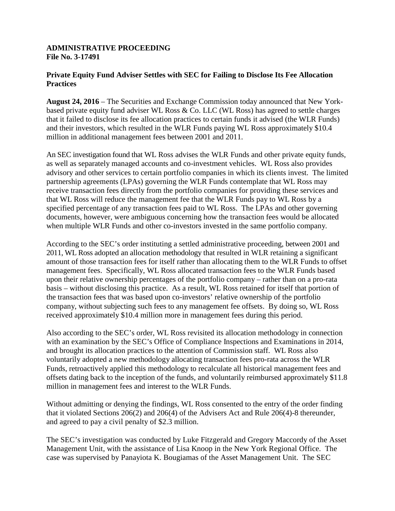## **ADMINISTRATIVE PROCEEDING File No. 3-17491**

## **Private Equity Fund Adviser Settles with SEC for Failing to Disclose Its Fee Allocation Practices**

**August 24, 2016** – The Securities and Exchange Commission today announced that New Yorkbased private equity fund adviser WL Ross & Co. LLC (WL Ross) has agreed to settle charges that it failed to disclose its fee allocation practices to certain funds it advised (the WLR Funds) and their investors, which resulted in the WLR Funds paying WL Ross approximately \$10.4 million in additional management fees between 2001 and 2011.

An SEC investigation found that WL Ross advises the WLR Funds and other private equity funds, as well as separately managed accounts and co-investment vehicles. WL Ross also provides advisory and other services to certain portfolio companies in which its clients invest. The limited partnership agreements (LPAs) governing the WLR Funds contemplate that WL Ross may receive transaction fees directly from the portfolio companies for providing these services and that WL Ross will reduce the management fee that the WLR Funds pay to WL Ross by a specified percentage of any transaction fees paid to WL Ross. The LPAs and other governing documents, however, were ambiguous concerning how the transaction fees would be allocated when multiple WLR Funds and other co-investors invested in the same portfolio company.

According to the SEC's order instituting a settled administrative proceeding, between 2001 and 2011, WL Ross adopted an allocation methodology that resulted in WLR retaining a significant amount of those transaction fees for itself rather than allocating them to the WLR Funds to offset management fees. Specifically, WL Ross allocated transaction fees to the WLR Funds based upon their relative ownership percentages of the portfolio company – rather than on a pro-rata basis – without disclosing this practice. As a result, WL Ross retained for itself that portion of the transaction fees that was based upon co-investors' relative ownership of the portfolio company, without subjecting such fees to any management fee offsets. By doing so, WL Ross received approximately \$10.4 million more in management fees during this period.

Also according to the SEC's order, WL Ross revisited its allocation methodology in connection with an examination by the SEC's Office of Compliance Inspections and Examinations in 2014, and brought its allocation practices to the attention of Commission staff. WL Ross also voluntarily adopted a new methodology allocating transaction fees pro-rata across the WLR Funds, retroactively applied this methodology to recalculate all historical management fees and offsets dating back to the inception of the funds, and voluntarily reimbursed approximately \$11.8 million in management fees and interest to the WLR Funds.

Without admitting or denying the findings, WL Ross consented to the entry of the order finding that it violated Sections 206(2) and 206(4) of the Advisers Act and Rule 206(4)-8 thereunder, and agreed to pay a civil penalty of \$2.3 million.

The SEC's investigation was conducted by Luke Fitzgerald and Gregory Maccordy of the Asset Management Unit, with the assistance of Lisa Knoop in the New York Regional Office. The case was supervised by Panayiota K. Bougiamas of the Asset Management Unit. The SEC